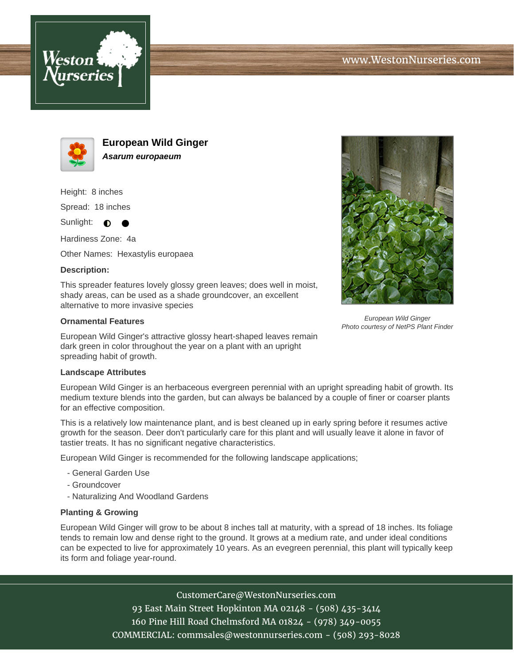



**European Wild Ginger Asarum europaeum**

Height: 8 inches

Spread: 18 inches

Sunlight:  $\bullet$ 

Hardiness Zone: 4a

Other Names: Hexastylis europaea

## **Description:**

This spreader features lovely glossy green leaves; does well in moist, shady areas, can be used as a shade groundcover, an excellent alternative to more invasive species

## **Ornamental Features**

European Wild Ginger's attractive glossy heart-shaped leaves remain dark green in color throughout the year on a plant with an upright spreading habit of growth.

## **Landscape Attributes**

European Wild Ginger is an herbaceous evergreen perennial with an upright spreading habit of growth. Its medium texture blends into the garden, but can always be balanced by a couple of finer or coarser plants for an effective composition.

This is a relatively low maintenance plant, and is best cleaned up in early spring before it resumes active growth for the season. Deer don't particularly care for this plant and will usually leave it alone in favor of tastier treats. It has no significant negative characteristics.

European Wild Ginger is recommended for the following landscape applications;

- General Garden Use
- Groundcover
- Naturalizing And Woodland Gardens

## **Planting & Growing**

European Wild Ginger will grow to be about 8 inches tall at maturity, with a spread of 18 inches. Its foliage tends to remain low and dense right to the ground. It grows at a medium rate, and under ideal conditions can be expected to live for approximately 10 years. As an evegreen perennial, this plant will typically keep its form and foliage year-round.

> CustomerCare@WestonNurseries.com 93 East Main Street Hopkinton MA 02148 - (508) 435-3414 160 Pine Hill Road Chelmsford MA 01824 - (978) 349-0055 COMMERCIAL: commsales@westonnurseries.com - (508) 293-8028



European Wild Ginger Photo courtesy of NetPS Plant Finder